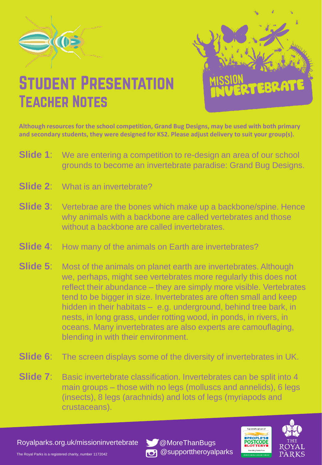



## **STUDENT PRESENTATION TEACHER NOTES**

**Although resources for the school competition, Grand Bug Designs, may be used with both primary and secondary students, they were designed for KS2. Please adjust delivery to suit your group(s).** 

- **Slide 1:** We are entering a competition to re-design an area of our school grounds to become an invertebrate paradise: Grand Bug Designs.
- **Slide 2:** What is an invertebrate?
- **Slide 3**: Vertebrae are the bones which make up a backbone/spine. Hence why animals with a backbone are called vertebrates and those without a backbone are called invertebrates.
- **Slide 4:** How many of the animals on Earth are invertebrates?
- **Slide 5**: Most of the animals on planet earth are invertebrates. Although we, perhaps, might see vertebrates more regularly this does not reflect their abundance – they are simply more visible. Vertebrates tend to be bigger in size. Invertebrates are often small and keep hidden in their habitats – e.g. underground, behind tree bark, in nests, in long grass, under rotting wood, in ponds, in rivers, in oceans. Many invertebrates are also experts are camouflaging, blending in with their environment.
- **Slide 6**: The screen displays some of the diversity of invertebrates in UK.
- **Slide 7:** Basic invertebrate classification. Invertebrates can be split into 4 main groups – those with no legs (molluscs and annelids), 6 legs (insects), 8 legs (arachnids) and lots of legs (myriapods and crustaceans).

Royalparks.org.uk/missioninvertebrate \@MoreThanBugs





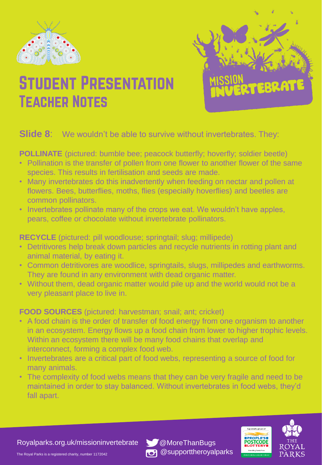



## **STUDENT PRESENTATION TEACHER NOTES**

## **Slide 8:** We wouldn't be able to survive without invertebrates. They:

**POLLINATE** (pictured: bumble bee; peacock butterfly; hoverfly; soldier beetle)

- Pollination is the transfer of pollen from one flower to another flower of the same species. This results in fertilisation and seeds are made.
- Many invertebrates do this inadvertently when feeding on nectar and pollen at flowers. Bees, butterflies, moths, flies (especially hoverflies) and beetles are common pollinators.
- Invertebrates pollinate many of the crops we eat. We wouldn't have apples, pears, coffee or chocolate without invertebrate pollinators.

**RECYCLE** (pictured: pill woodlouse; springtail; slug; millipede)

- Detritivores help break down particles and recycle nutrients in rotting plant and animal material, by eating it.
- Common detritivores are woodlice, springtails, slugs, millipedes and earthworms. They are found in any environment with dead organic matter.
- Without them, dead organic matter would pile up and the world would not be a very pleasant place to live in.

**FOOD SOURCES** (pictured: harvestman; snail; ant; cricket)

- A food chain is the order of transfer of food energy from one organism to another in an ecosystem. Energy flows up a food chain from lower to higher trophic levels. Within an ecosystem there will be many food chains that overlap and interconnect, forming a complex food web.
- Invertebrates are a critical part of food webs, representing a source of food for many animals.
- The complexity of food webs means that they can be very fragile and need to be maintained in order to stay balanced. Without invertebrates in food webs, they'd fall apart.

Royalparks.org.uk/missioninvertebrate \@MoreThanBugs